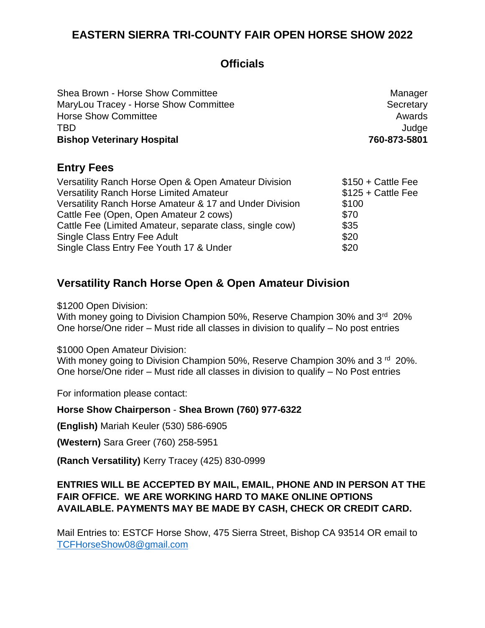# **Officials**

| Shea Brown - Horse Show Committee     | Manager      |
|---------------------------------------|--------------|
| MaryLou Tracey - Horse Show Committee | Secretary    |
| <b>Horse Show Committee</b>           | Awards       |
| <b>TBD</b>                            | Judge        |
| <b>Bishop Veterinary Hospital</b>     | 760-873-5801 |
| <b>Entry Fees</b>                     |              |

| $$150 + Cattle Fe$ |
|--------------------|
| $$125 + Cattle Fe$ |
| \$100              |
| \$70               |
| \$35               |
| \$20               |
| \$20               |
|                    |

## **Versatility Ranch Horse Open & Open Amateur Division**

\$1200 Open Division:

With money going to Division Champion 50%, Reserve Champion 30% and 3<sup>rd</sup> 20% One horse/One rider – Must ride all classes in division to qualify – No post entries

\$1000 Open Amateur Division:

With money going to Division Champion 50%, Reserve Champion 30% and 3<sup>rd</sup> 20%. One horse/One rider – Must ride all classes in division to qualify – No Post entries

For information please contact:

#### **Horse Show Chairperson** - **Shea Brown (760) 977-6322**

**(English)** Mariah Keuler (530) 586-6905

**(Western)** Sara Greer (760) 258-5951

**(Ranch Versatility)** Kerry Tracey (425) 830-0999

#### **ENTRIES WILL BE ACCEPTED BY MAIL, EMAIL, PHONE AND IN PERSON AT THE FAIR OFFICE. WE ARE WORKING HARD TO MAKE ONLINE OPTIONS AVAILABLE. PAYMENTS MAY BE MADE BY CASH, CHECK OR CREDIT CARD.**

Mail Entries to: ESTCF Horse Show, 475 Sierra Street, Bishop CA 93514 OR email to [TCFHorseShow08@gmail.com](mailto:TCFHorseShow08@gmail.com)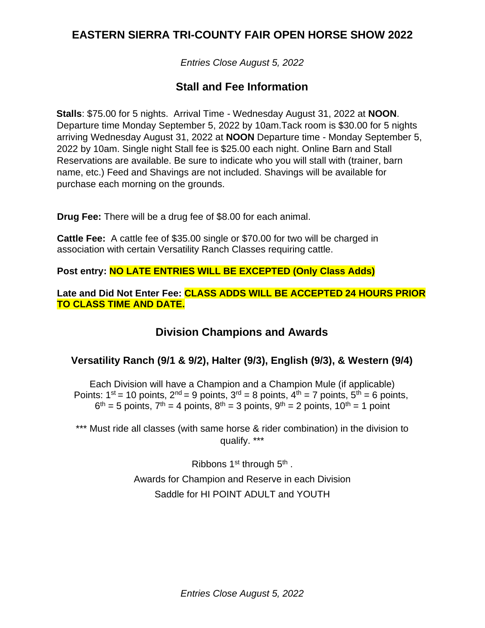*Entries Close August 5, 2022*

## **Stall and Fee Information**

**Stalls**: \$75.00 for 5 nights. Arrival Time - Wednesday August 31, 2022 at **NOON**. Departure time Monday September 5, 2022 by 10am.Tack room is \$30.00 for 5 nights arriving Wednesday August 31, 2022 at **NOON** Departure time - Monday September 5, 2022 by 10am. Single night Stall fee is \$25.00 each night. Online Barn and Stall Reservations are available. Be sure to indicate who you will stall with (trainer, barn name, etc.) Feed and Shavings are not included. Shavings will be available for purchase each morning on the grounds.

**Drug Fee:** There will be a drug fee of \$8.00 for each animal.

**Cattle Fee:** A cattle fee of \$35.00 single or \$70.00 for two will be charged in association with certain Versatility Ranch Classes requiring cattle.

**Post entry: NO LATE ENTRIES WILL BE EXCEPTED (Only Class Adds)**

**Late and Did Not Enter Fee: CLASS ADDS WILL BE ACCEPTED 24 HOURS PRIOR TO CLASS TIME AND DATE.**

## **Division Champions and Awards**

## **Versatility Ranch (9/1 & 9/2), Halter (9/3), English (9/3), & Western (9/4)**

Each Division will have a Champion and a Champion Mule (if applicable) Points:  $1^{st}$  = 10 points,  $2^{nd}$  = 9 points,  $3^{rd}$  = 8 points,  $4^{th}$  = 7 points,  $5^{th}$  = 6 points,  $6<sup>th</sup> = 5$  points,  $7<sup>th</sup> = 4$  points,  $8<sup>th</sup> = 3$  points,  $9<sup>th</sup> = 2$  points,  $10<sup>th</sup> = 1$  point

\*\*\* Must ride all classes (with same horse & rider combination) in the division to qualify. \*\*\*

> Ribbons  $1<sup>st</sup>$  through  $5<sup>th</sup>$ . Awards for Champion and Reserve in each Division Saddle for HI POINT ADULT and YOUTH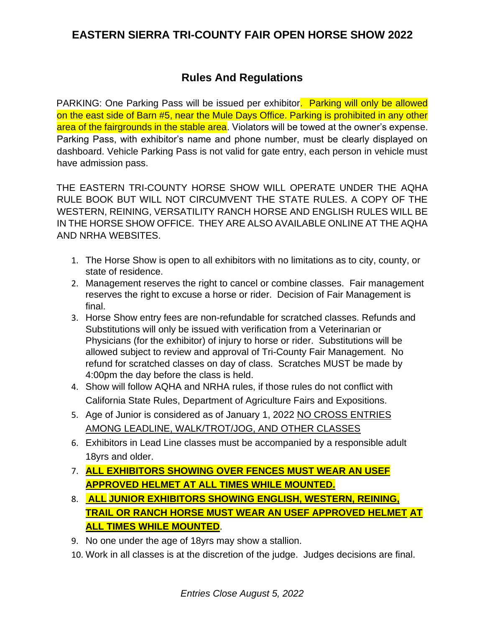## **Rules And Regulations**

PARKING: One Parking Pass will be issued per exhibitor. Parking will only be allowed on the east side of Barn #5, near the Mule Days Office. Parking is prohibited in any other area of the fairgrounds in the stable area. Violators will be towed at the owner's expense. Parking Pass, with exhibitor's name and phone number, must be clearly displayed on dashboard. Vehicle Parking Pass is not valid for gate entry, each person in vehicle must have admission pass.

THE EASTERN TRI-COUNTY HORSE SHOW WILL OPERATE UNDER THE AQHA RULE BOOK BUT WILL NOT CIRCUMVENT THE STATE RULES. A COPY OF THE WESTERN, REINING, VERSATILITY RANCH HORSE AND ENGLISH RULES WILL BE IN THE HORSE SHOW OFFICE. THEY ARE ALSO AVAILABLE ONLINE AT THE AQHA AND NRHA WEBSITES.

- 1. The Horse Show is open to all exhibitors with no limitations as to city, county, or state of residence.
- 2. Management reserves the right to cancel or combine classes. Fair management reserves the right to excuse a horse or rider. Decision of Fair Management is final.
- 3. Horse Show entry fees are non-refundable for scratched classes. Refunds and Substitutions will only be issued with verification from a Veterinarian or Physicians (for the exhibitor) of injury to horse or rider. Substitutions will be allowed subject to review and approval of Tri-County Fair Management. No refund for scratched classes on day of class. Scratches MUST be made by 4:00pm the day before the class is held.
- 4. Show will follow AQHA and NRHA rules, if those rules do not conflict with California State Rules, Department of Agriculture Fairs and Expositions.
- 5. Age of Junior is considered as of January 1, 2022 NO CROSS ENTRIES AMONG LEADLINE, WALK/TROT/JOG, AND OTHER CLASSES
- 6. Exhibitors in Lead Line classes must be accompanied by a responsible adult 18yrs and older.
- 7. **ALL EXHIBITORS SHOWING OVER FENCES MUST WEAR AN USEF APPROVED HELMET AT ALL TIMES WHILE MOUNTED.**
- 8. **ALL JUNIOR EXHIBITORS SHOWING ENGLISH, WESTERN, REINING, TRAIL OR RANCH HORSE MUST WEAR AN USEF APPROVED HELMET AT ALL TIMES WHILE MOUNTED**.
- 9. No one under the age of 18yrs may show a stallion.
- 10. Work in all classes is at the discretion of the judge. Judges decisions are final.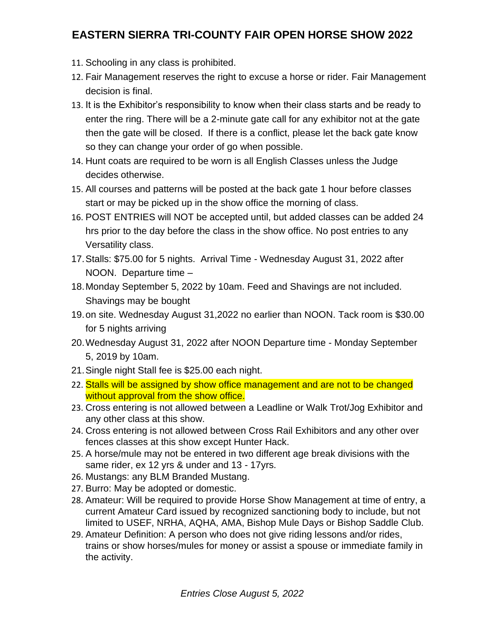- 11. Schooling in any class is prohibited.
- 12. Fair Management reserves the right to excuse a horse or rider. Fair Management decision is final.
- 13. It is the Exhibitor's responsibility to know when their class starts and be ready to enter the ring. There will be a 2-minute gate call for any exhibitor not at the gate then the gate will be closed. If there is a conflict, please let the back gate know so they can change your order of go when possible.
- 14. Hunt coats are required to be worn is all English Classes unless the Judge decides otherwise.
- 15. All courses and patterns will be posted at the back gate 1 hour before classes start or may be picked up in the show office the morning of class.
- 16. POST ENTRIES will NOT be accepted until, but added classes can be added 24 hrs prior to the day before the class in the show office. No post entries to any Versatility class.
- 17.Stalls: \$75.00 for 5 nights. Arrival Time Wednesday August 31, 2022 after NOON. Departure time –
- 18.Monday September 5, 2022 by 10am. Feed and Shavings are not included. Shavings may be bought
- 19.on site. Wednesday August 31,2022 no earlier than NOON. Tack room is \$30.00 for 5 nights arriving
- 20.Wednesday August 31, 2022 after NOON Departure time Monday September 5, 2019 by 10am.
- 21.Single night Stall fee is \$25.00 each night.
- 22. Stalls will be assigned by show office management and are not to be changed without approval from the show office.
- 23. Cross entering is not allowed between a Leadline or Walk Trot/Jog Exhibitor and any other class at this show.
- 24. Cross entering is not allowed between Cross Rail Exhibitors and any other over fences classes at this show except Hunter Hack.
- 25. A horse/mule may not be entered in two different age break divisions with the same rider, ex 12 yrs & under and 13 - 17yrs.
- 26. Mustangs: any BLM Branded Mustang.
- 27. Burro: May be adopted or domestic.
- 28. Amateur: Will be required to provide Horse Show Management at time of entry, a current Amateur Card issued by recognized sanctioning body to include, but not limited to USEF, NRHA, AQHA, AMA, Bishop Mule Days or Bishop Saddle Club.
- 29. Amateur Definition: A person who does not give riding lessons and/or rides, trains or show horses/mules for money or assist a spouse or immediate family in the activity.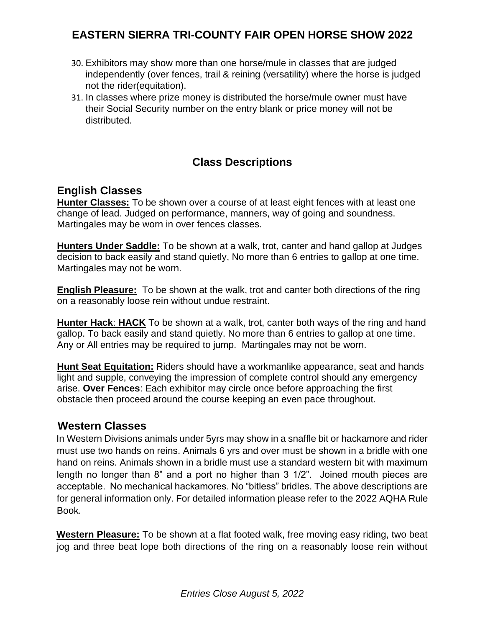- 30. Exhibitors may show more than one horse/mule in classes that are judged independently (over fences, trail & reining (versatility) where the horse is judged not the rider(equitation).
- 31. In classes where prize money is distributed the horse/mule owner must have their Social Security number on the entry blank or price money will not be distributed.

# **Class Descriptions**

## **English Classes**

**Hunter Classes:** To be shown over a course of at least eight fences with at least one change of lead. Judged on performance, manners, way of going and soundness. Martingales may be worn in over fences classes.

**Hunters Under Saddle:** To be shown at a walk, trot, canter and hand gallop at Judges decision to back easily and stand quietly, No more than 6 entries to gallop at one time. Martingales may not be worn.

**English Pleasure:** To be shown at the walk, trot and canter both directions of the ring on a reasonably loose rein without undue restraint.

**Hunter Hack**: **HACK** To be shown at a walk, trot, canter both ways of the ring and hand gallop. To back easily and stand quietly. No more than 6 entries to gallop at one time. Any or All entries may be required to jump. Martingales may not be worn.

**Hunt Seat Equitation:** Riders should have a workmanlike appearance, seat and hands light and supple, conveying the impression of complete control should any emergency arise. **Over Fences**: Each exhibitor may circle once before approaching the first obstacle then proceed around the course keeping an even pace throughout.

## **Western Classes**

In Western Divisions animals under 5yrs may show in a snaffle bit or hackamore and rider must use two hands on reins. Animals 6 yrs and over must be shown in a bridle with one hand on reins. Animals shown in a bridle must use a standard western bit with maximum length no longer than 8" and a port no higher than 3 1/2". Joined mouth pieces are acceptable. No mechanical hackamores. No "bitless" bridles. The above descriptions are for general information only. For detailed information please refer to the 2022 AQHA Rule Book.

**Western Pleasure:** To be shown at a flat footed walk, free moving easy riding, two beat jog and three beat lope both directions of the ring on a reasonably loose rein without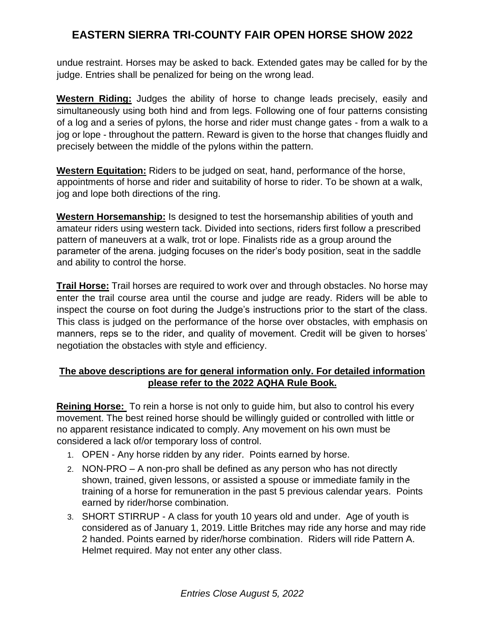undue restraint. Horses may be asked to back. Extended gates may be called for by the judge. Entries shall be penalized for being on the wrong lead.

**Western Riding:** Judges the ability of horse to change leads precisely, easily and simultaneously using both hind and from legs. Following one of four patterns consisting of a log and a series of pylons, the horse and rider must change gates - from a walk to a jog or lope - throughout the pattern. Reward is given to the horse that changes fluidly and precisely between the middle of the pylons within the pattern.

**Western Equitation:** Riders to be judged on seat, hand, performance of the horse, appointments of horse and rider and suitability of horse to rider. To be shown at a walk, jog and lope both directions of the ring.

**Western Horsemanship:** Is designed to test the horsemanship abilities of youth and amateur riders using western tack. Divided into sections, riders first follow a prescribed pattern of maneuvers at a walk, trot or lope. Finalists ride as a group around the parameter of the arena. judging focuses on the rider's body position, seat in the saddle and ability to control the horse.

**Trail Horse:** Trail horses are required to work over and through obstacles. No horse may enter the trail course area until the course and judge are ready. Riders will be able to inspect the course on foot during the Judge's instructions prior to the start of the class. This class is judged on the performance of the horse over obstacles, with emphasis on manners, reps se to the rider, and quality of movement. Credit will be given to horses' negotiation the obstacles with style and efficiency.

### **The above descriptions are for general information only. For detailed information please refer to the 2022 AQHA Rule Book.**

**Reining Horse:** To rein a horse is not only to guide him, but also to control his every movement. The best reined horse should be willingly guided or controlled with little or no apparent resistance indicated to comply. Any movement on his own must be considered a lack of/or temporary loss of control.

- 1. OPEN Any horse ridden by any rider. Points earned by horse.
- 2. NON-PRO A non-pro shall be defined as any person who has not directly shown, trained, given lessons, or assisted a spouse or immediate family in the training of a horse for remuneration in the past 5 previous calendar years. Points earned by rider/horse combination.
- 3. SHORT STIRRUP A class for youth 10 years old and under. Age of youth is considered as of January 1, 2019. Little Britches may ride any horse and may ride 2 handed. Points earned by rider/horse combination. Riders will ride Pattern A. Helmet required. May not enter any other class.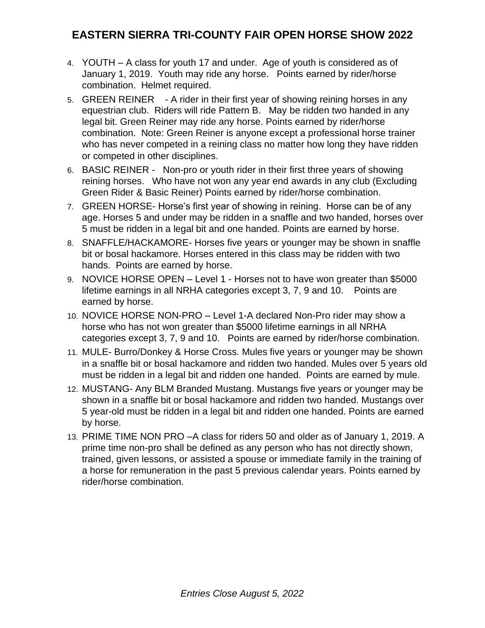- 4. YOUTH A class for youth 17 and under. Age of youth is considered as of January 1, 2019. Youth may ride any horse. Points earned by rider/horse combination. Helmet required.
- 5. GREEN REINER A rider in their first year of showing reining horses in any equestrian club. Riders will ride Pattern B. May be ridden two handed in any legal bit. Green Reiner may ride any horse. Points earned by rider/horse combination. Note: Green Reiner is anyone except a professional horse trainer who has never competed in a reining class no matter how long they have ridden or competed in other disciplines.
- 6. BASIC REINER Non-pro or youth rider in their first three years of showing reining horses. Who have not won any year end awards in any club (Excluding Green Rider & Basic Reiner) Points earned by rider/horse combination.
- 7. GREEN HORSE- Horse's first year of showing in reining. Horse can be of any age. Horses 5 and under may be ridden in a snaffle and two handed, horses over 5 must be ridden in a legal bit and one handed. Points are earned by horse.
- 8. SNAFFLE/HACKAMORE- Horses five years or younger may be shown in snaffle bit or bosal hackamore. Horses entered in this class may be ridden with two hands. Points are earned by horse.
- 9. NOVICE HORSE OPEN Level 1 Horses not to have won greater than \$5000 lifetime earnings in all NRHA categories except 3, 7, 9 and 10. Points are earned by horse.
- 10. NOVICE HORSE NON-PRO Level 1-A declared Non-Pro rider may show a horse who has not won greater than \$5000 lifetime earnings in all NRHA categories except 3, 7, 9 and 10. Points are earned by rider/horse combination.
- 11. MULE- Burro/Donkey & Horse Cross. Mules five years or younger may be shown in a snaffle bit or bosal hackamore and ridden two handed. Mules over 5 years old must be ridden in a legal bit and ridden one handed. Points are earned by mule.
- 12. MUSTANG- Any BLM Branded Mustang. Mustangs five years or younger may be shown in a snaffle bit or bosal hackamore and ridden two handed. Mustangs over 5 year-old must be ridden in a legal bit and ridden one handed. Points are earned by horse.
- 13. PRIME TIME NON PRO –A class for riders 50 and older as of January 1, 2019. A prime time non-pro shall be defined as any person who has not directly shown, trained, given lessons, or assisted a spouse or immediate family in the training of a horse for remuneration in the past 5 previous calendar years. Points earned by rider/horse combination.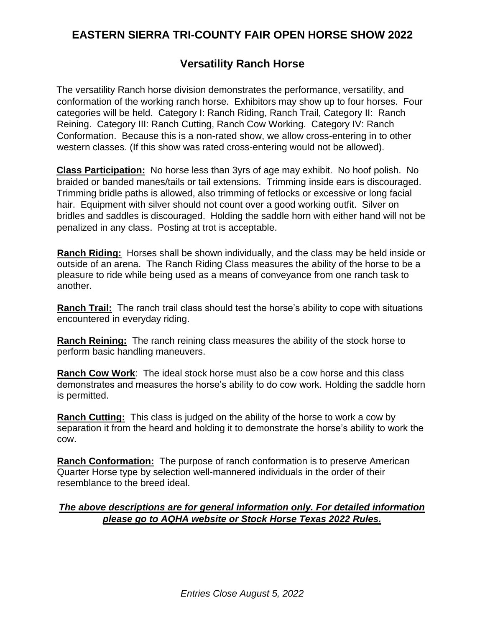## **Versatility Ranch Horse**

The versatility Ranch horse division demonstrates the performance, versatility, and conformation of the working ranch horse. Exhibitors may show up to four horses. Four categories will be held. Category I: Ranch Riding, Ranch Trail, Category II: Ranch Reining. Category III: Ranch Cutting, Ranch Cow Working. Category IV: Ranch Conformation. Because this is a non-rated show, we allow cross-entering in to other western classes. (If this show was rated cross-entering would not be allowed).

**Class Participation:** No horse less than 3yrs of age may exhibit. No hoof polish. No braided or banded manes/tails or tail extensions. Trimming inside ears is discouraged. Trimming bridle paths is allowed, also trimming of fetlocks or excessive or long facial hair. Equipment with silver should not count over a good working outfit. Silver on bridles and saddles is discouraged. Holding the saddle horn with either hand will not be penalized in any class. Posting at trot is acceptable.

**Ranch Riding:** Horses shall be shown individually, and the class may be held inside or outside of an arena. The Ranch Riding Class measures the ability of the horse to be a pleasure to ride while being used as a means of conveyance from one ranch task to another.

**Ranch Trail:** The ranch trail class should test the horse's ability to cope with situations encountered in everyday riding.

**Ranch Reining:** The ranch reining class measures the ability of the stock horse to perform basic handling maneuvers.

**Ranch Cow Work**: The ideal stock horse must also be a cow horse and this class demonstrates and measures the horse's ability to do cow work. Holding the saddle horn is permitted.

**Ranch Cutting:** This class is judged on the ability of the horse to work a cow by separation it from the heard and holding it to demonstrate the horse's ability to work the cow.

**Ranch Conformation:** The purpose of ranch conformation is to preserve American Quarter Horse type by selection well-mannered individuals in the order of their resemblance to the breed ideal.

#### *The above descriptions are for general information only. For detailed information please go to AQHA website or Stock Horse Texas 2022 Rules.*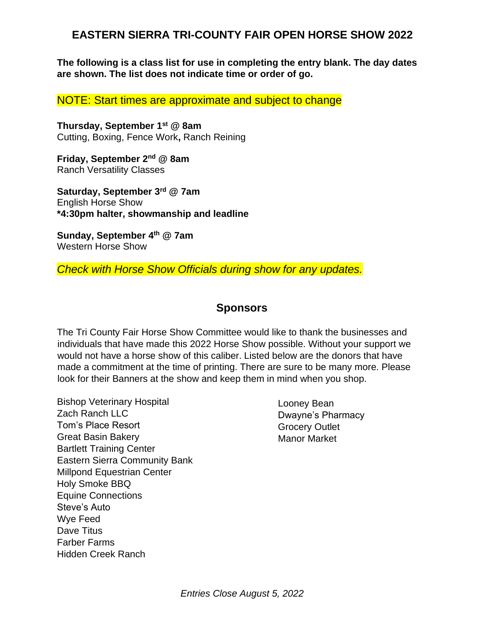**The following is a class list for use in completing the entry blank. The day dates are shown. The list does not indicate time or order of go.**

NOTE: Start times are approximate and subject to change

**Thursday, September 1st @ 8am** Cutting, Boxing, Fence Work**,** Ranch Reining

**Friday, September 2 nd @ 8am** Ranch Versatility Classes

**Saturday, September 3rd @ 7am** English Horse Show **\*4:30pm halter, showmanship and leadline**

**Sunday, September 4 th @ 7am** Western Horse Show

#### *Check with Horse Show Officials during show for any updates.*

#### **Sponsors**

The Tri County Fair Horse Show Committee would like to thank the businesses and individuals that have made this 2022 Horse Show possible. Without your support we would not have a horse show of this caliber. Listed below are the donors that have made a commitment at the time of printing. There are sure to be many more. Please look for their Banners at the show and keep them in mind when you shop.

Bishop Veterinary Hospital Zach Ranch LLC Tom's Place Resort Great Basin Bakery Bartlett Training Center Eastern Sierra Community Bank Millpond Equestrian Center Holy Smoke BBQ Equine Connections Steve's Auto Wye Feed Dave Titus Farber Farms Hidden Creek Ranch

Looney Bean Dwayne's Pharmacy Grocery Outlet Manor Market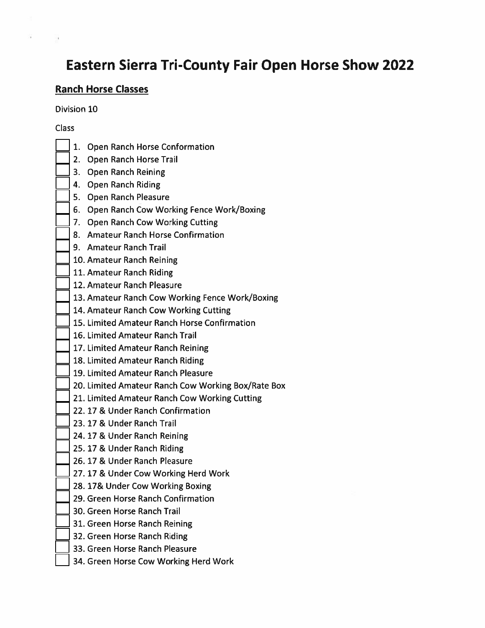# **Eastern Sierra Tri-County Fair Open Horse Show 2022**

## **Ranch Horse Classes**

Division 10

#### **Class**

- 1. Open Ranch Horse Conformation
- 2. Open Ranch Horse Trail
- 3. Open Ranch Reining
- 4. Open Ranch Riding
- 5. Open Ranch Pleasure
- 6. Open Ranch Cow Working Fence Work/Boxing
- 7. Open Ranch Cow Working Cutting
- 8. Amateur Ranch Horse Confirmation
- 9. Amateur Ranch Trail
- 10. Amateur Ranch Reining
- 11. Amateur Ranch Riding
- 12. Amateur Ranch Pleasure
- 13. Amateur Ranch Cow Working Fence Work/Boxing
- 14. Amateur Ranch Cow Working Cutting
- 15. Limited Amateur Ranch Horse Confirmation
- 16. Limited Amateur Ranch Trail
- 17. Limited Amateur Ranch Reining
- 18. Limited Amateur Ranch Riding
- 19. Limited Amateur Ranch Pleasure
- 20. Limited Amateur Ranch Cow Working Box/Rate Box
- 21. Limited Amateur Ranch Cow Working Cutting
- 22.17 & Under Ranch Confirmation
- 23. 17 & Under Ranch Trail
- 24.17 & Under Ranch Reining
- 25.17 & Under Ranch Riding
- 26.17 & Under Ranch Pleasure
- 27.17 & Under Cow Working Herd Work
- 28.17& Under Cow Working Boxing
- 29. Green Horse Ranch Confirmation
- 30. Green Horse Ranch Trail
- 31. Green Horse Ranch Reining
- 32. Green Horse Ranch Riding
- 33. Green Horse Ranch Pleasure
- 34. Green Horse Cow Working Herd Work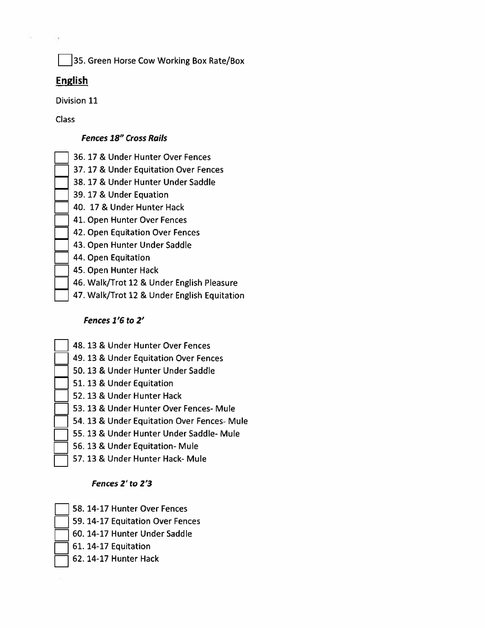35. Green Horse Cow Working Box Rate/Box

#### **English**

Division 11

**Class** 

#### **Fences 18" Cross Rails**

- 36.17 & Under Hunter Over Fences
- 37. 17 & Under Equitation Over Fences
- 38. 17 & Under Hunter Under Saddle
- 39.17 & Under Equation
- 40. 17 & Under Hunter Hack
- 41. Open Hunter Over Fences
- 42. Open Equitation Over Fences
- 43. Open Hunter Under Saddle
- 44. Open Equitation
- 45. Open Hunter Hack
- 46. Walk/Trot 12 & Under English Pleasure
- 47. Walk/Trot 12 & Under English Equitation

#### Fences 1'6 to 2'

- 48.13 & Under Hunter Over Fences
	- 49. 13 & Under Equitation Over Fences
- 50. 13 & Under Hunter Under Saddle
- 51. 13 & Under Equitation
- 52. 13 & Under Hunter Hack
- 53. 13 & Under Hunter Over Fences- Mule
- 54. 13 & Under Equitation Over Fences- Mule
- 55.13 & Under Hunter Under Saddle- Mule
- 56. 13 & Under Equitation- Mule
- 57. 13 & Under Hunter Hack- Mule

#### Fences 2' to 2'3

- 58. 14-17 Hunter Over Fences
- 59. 14-17 Equitation Over Fences
- 60. 14-17 Hunter Under Saddle
- 61. 14-17 Equitation
- 62. 14-17 Hunter Hack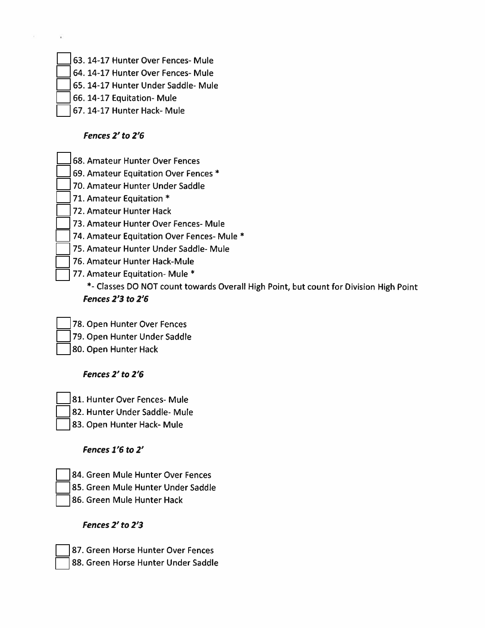- 63. 14-17 Hunter Over Fences- Mule
- 64. 14-17 Hunter Over Fences- Mule
- 65. 14-17 Hunter Under Saddle- Mule
- 66. 14-17 Equitation- Mule
- 67. 14-17 Hunter Hack- Mule

#### Fences 2' to 2'6

- 68. Amateur Hunter Over Fences
- 69. Amateur Equitation Over Fences \*
- 70. Amateur Hunter Under Saddle
- 71. Amateur Equitation \*
- 72. Amateur Hunter Hack
- 73. Amateur Hunter Over Fences- Mule
- 74. Amateur Equitation Over Fences- Mule \*
- 75. Amateur Hunter Under Saddle- Mule
- 76. Amateur Hunter Hack-Mule
- 77. Amateur Equitation- Mule \*

\*- Classes DO NOT count towards Overall High Point, but count for Division High Point **Fences 2'3 to 2'6** 

- 78. Open Hunter Over Fences
- 79. Open Hunter Under Saddle
- 80. Open Hunter Hack

## Fences 2' to 2'6

- 81. Hunter Over Fences- Mule
- 82. Hunter Under Saddle- Mule
- 83. Open Hunter Hack- Mule

#### Fences 1'6 to 2'

- 84. Green Mule Hunter Over Fences
- 85. Green Mule Hunter Under Saddle
- 86. Green Mule Hunter Hack

## Fences 2' to 2'3

- 87. Green Horse Hunter Over Fences
- 88. Green Horse Hunter Under Saddle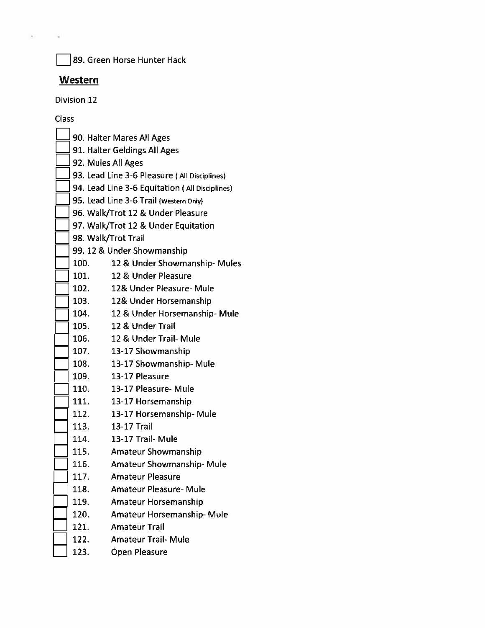$\c3$ 89. Green Horse Hunter Hack

# **Western**

Division 12

Class

|                                                | 90. Halter Mares All Ages     |  |
|------------------------------------------------|-------------------------------|--|
| 91. Halter Geldings All Ages                   |                               |  |
| 92. Mules All Ages                             |                               |  |
| 93. Lead Line 3-6 Pleasure (All Disciplines)   |                               |  |
| 94. Lead Line 3-6 Equitation (All Disciplines) |                               |  |
| 95. Lead Line 3-6 Trail (Western Only)         |                               |  |
| 96. Walk/Trot 12 & Under Pleasure              |                               |  |
| 97. Walk/Trot 12 & Under Equitation            |                               |  |
| 98. Walk/Trot Trail                            |                               |  |
| 99. 12 & Under Showmanship                     |                               |  |
| 100.                                           | 12 & Under Showmanship- Mules |  |
| 101.                                           | 12 & Under Pleasure           |  |
| 102.                                           | 12& Under Pleasure- Mule      |  |
| 103.                                           | 12& Under Horsemanship        |  |
| 104.                                           | 12 & Under Horsemanship-Mule  |  |
| 105.                                           | 12 & Under Trail              |  |
| 106.                                           | 12 & Under Trail- Mule        |  |
| 107.                                           | 13-17 Showmanship             |  |
| 108.                                           | 13-17 Showmanship- Mule       |  |
| 109.                                           | 13-17 Pleasure                |  |
| 110.                                           | 13-17 Pleasure- Mule          |  |
| 111.                                           | 13-17 Horsemanship            |  |
| 112.                                           | 13-17 Horsemanship-Mule       |  |
| 113.                                           | 13-17 Trail                   |  |
| 114.                                           | 13-17 Trail- Mule             |  |
| 115.                                           | <b>Amateur Showmanship</b>    |  |
| 116.                                           | Amateur Showmanship-Mule      |  |
| 117.                                           | <b>Amateur Pleasure</b>       |  |
| 118.                                           | <b>Amateur Pleasure- Mule</b> |  |
| 119.                                           | Amateur Horsemanship          |  |
| 120.                                           | Amateur Horsemanship- Mule    |  |
| 121.                                           | <b>Amateur Trail</b>          |  |
| 122.                                           | <b>Amateur Trail- Mule</b>    |  |
| 123.                                           | <b>Open Pleasure</b>          |  |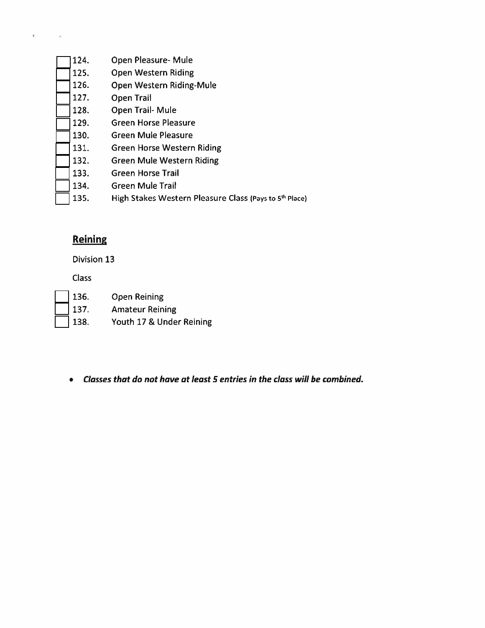124. Open Pleasure- Mule 125. **Open Western Riding** Open Western Riding-Mule 126. 127. Open Trail 128. Open Trail-Mule 129. **Green Horse Pleasure** 130. **Green Mule Pleasure** 131. **Green Horse Western Riding** 132. **Green Mule Western Riding** 133. **Green Horse Trail Green Mule Trail** 134. High Stakes Western Pleasure Class (Pays to 5<sup>th</sup> Place) 135.

## **Reining**

**Division 13** 

**Class** 

- 136. 137.
	- **Open Reining Amateur Reining**
	- 138. Youth 17 & Under Reining
	- Classes that do not have at least 5 entries in the class will be combined.  $\bullet$